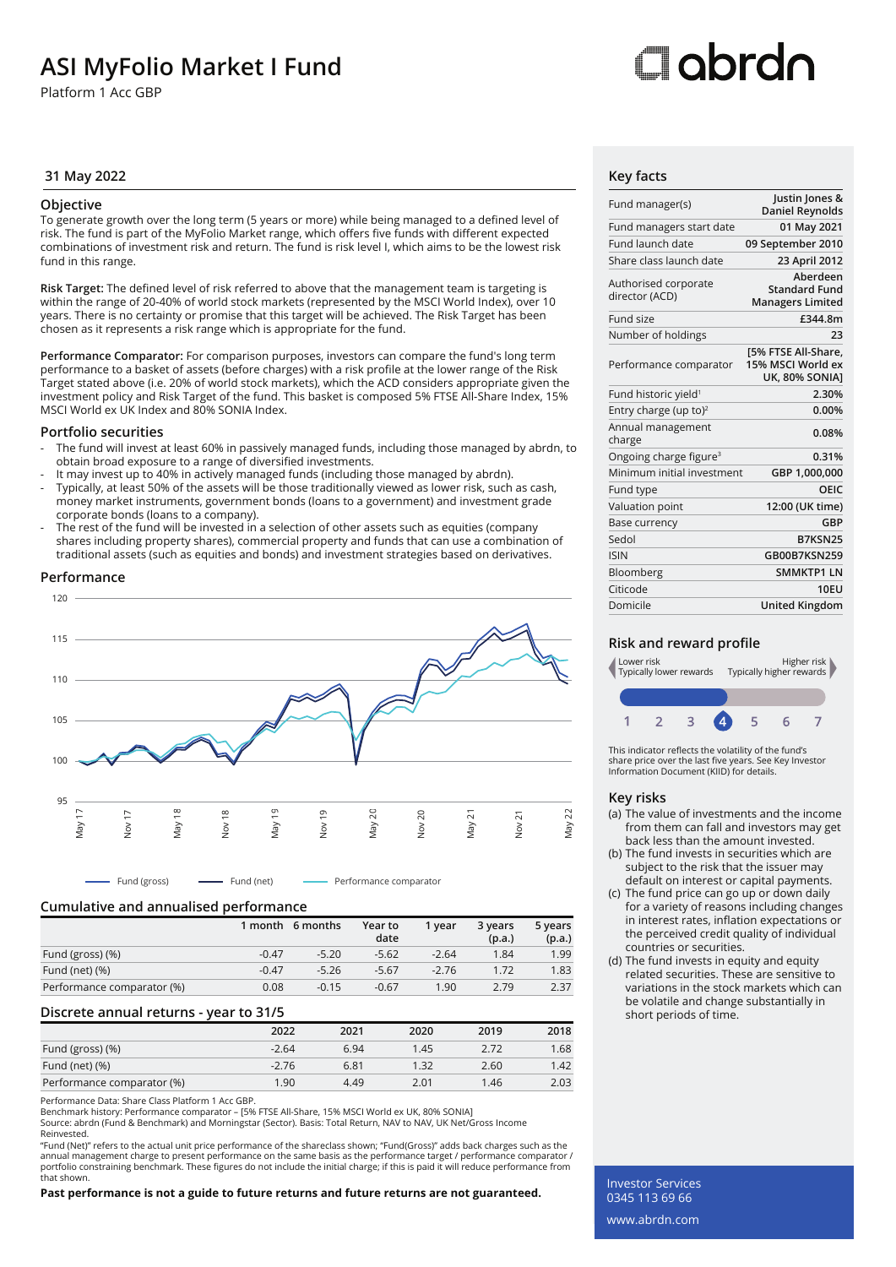## **ASI MyFolio Market I Fund**

Platform 1 Acc GBP

# ⊡obrdo

#### **31 May 2022 Key facts**

#### **Objective**

To generate growth over the long term (5 years or more) while being managed to a defined level of risk. The fund is part of the MyFolio Market range, which offers five funds with different expected combinations of investment risk and return. The fund is risk level I, which aims to be the lowest risk fund in this range.

**Risk Target:** The defined level of risk referred to above that the management team is targeting is within the range of 20-40% of world stock markets (represented by the MSCI World Index), over 10 years. There is no certainty or promise that this target will be achieved. The Risk Target has been chosen as it represents a risk range which is appropriate for the fund.

**Performance Comparator:** For comparison purposes, investors can compare the fund's long term performance to a basket of assets (before charges) with a risk profile at the lower range of the Risk Target stated above (i.e. 20% of world stock markets), which the ACD considers appropriate given the investment policy and Risk Target of the fund. This basket is composed 5% FTSE All-Share Index, 15% MSCI World ex UK Index and 80% SONIA Index.

#### **Portfolio securities**

- The fund will invest at least 60% in passively managed funds, including those managed by abrdn, to obtain broad exposure to a range of diversified investments.
- It may invest up to 40% in actively managed funds (including those managed by abrdn).
- Typically, at least 50% of the assets will be those traditionally viewed as lower risk, such as cash, money market instruments, government bonds (loans to a government) and investment grade corporate bonds (loans to a company).
- The rest of the fund will be invested in a selection of other assets such as equities (company shares including property shares), commercial property and funds that can use a combination of traditional assets (such as equities and bonds) and investment strategies based on derivatives.

#### **Performance**



#### **Cumulative and annualised performance**

|                            |         | 1 month 6 months | Year to<br>date | 1 vear  | 3 years<br>(p.a.) | 5 years<br>(p.a.) |
|----------------------------|---------|------------------|-----------------|---------|-------------------|-------------------|
| Fund (gross) (%)           | $-0.47$ | $-5.20$          | $-5.62$         | $-2.64$ | 1.84              | 1.99              |
| Fund (net) $(\%)$          | $-0.47$ | $-5.26$          | $-5.67$         | $-2.76$ | 1.72              | 1.83              |
| Performance comparator (%) | 0.08    | $-0.15$          | $-0.67$         | 1.90    | 2.79              | 2.37              |

#### **Discrete annual returns - year to 31/5**

|                            | 2022    | 2021 | 2020 | 2019 | 2018 |
|----------------------------|---------|------|------|------|------|
| Fund (gross) (%)           | $-2.64$ | 6.94 | 1.45 | 2.72 | 1.68 |
| Fund (net) $(\%)$          | $-2.76$ | 6.81 | 1.32 | 2.60 | 1.42 |
| Performance comparator (%) | 1.90    | 4.49 | 2.01 | 1.46 | 2.03 |

Performance Data: Share Class Platform 1 Acc GBP.

Benchmark history: Performance comparator – [5% FTSE All-Share, 15% MSCI World ex UK, 80% SONIA]

Source: abrdn (Fund & Benchmark) and Morningstar (Sector). Basis: Total Return, NAV to NAV, UK Net/Gross Income Reinvested.

"Fund (Net)" refers to the actual unit price performance of the shareclass shown; "Fund(Gross)" adds back charges such as the annual management charge to present performance on the same basis as the performance target / performance comparator /<br>portfolio constraining benchmark. These figures do not include the initial charge; if this is paid it w that shown.

#### **Past performance is not a guide to future returns and future returns are not guaranteed.**

| Fund manager(s)                        | Justin Jones &<br><b>Daniel Reynolds</b>                    |
|----------------------------------------|-------------------------------------------------------------|
| Fund managers start date               | 01 May 2021                                                 |
| Fund launch date                       | 09 September 2010                                           |
| Share class launch date                | 23 April 2012                                               |
| Authorised corporate<br>director (ACD) | Aberdeen<br><b>Standard Fund</b><br><b>Managers Limited</b> |
| Fund size                              | £344.8m                                                     |
| Number of holdings                     | 23                                                          |
| Performance comparator                 | [5% FTSE All-Share,<br>15% MSCI World ex<br>UK, 80% SONIA]  |
| Fund historic yield <sup>1</sup>       | 2.30%                                                       |
| Entry charge (up to) <sup>2</sup>      | 0.00%                                                       |
| Annual management<br>charge            | 0.08%                                                       |
| Ongoing charge figure <sup>3</sup>     | 0.31%                                                       |
| Minimum initial investment             | GBP 1,000,000                                               |
| Fund type                              | OEIC                                                        |
| Valuation point                        | 12:00 (UK time)                                             |
| Base currency                          | GBP                                                         |
| Sedol                                  | B7KSN25                                                     |
| <b>ISIN</b>                            | GB00B7KSN259                                                |
| Bloomberg                              | <b>SMMKTP1 LN</b>                                           |
| Citicode                               | <b>10FU</b>                                                 |
| Domicile                               | <b>United Kingdom</b>                                       |

#### **Risk and reward profile**



This indicator reflects the volatility of the fund's share price over the last five years. See Key Investor Information Document (KIID) for details.

#### **Key risks**

- (a) The value of investments and the income from them can fall and investors may get back less than the amount invested.
- (b) The fund invests in securities which are subject to the risk that the issuer may default on interest or capital payments.
- (c) The fund price can go up or down daily for a variety of reasons including changes in interest rates, inflation expectations or the perceived credit quality of individual countries or securities.
- (d) The fund invests in equity and equity related securities. These are sensitive to variations in the stock markets which can be volatile and change substantially in short periods of time.

Investor Services 0345 113 69 66 www.abrdn.com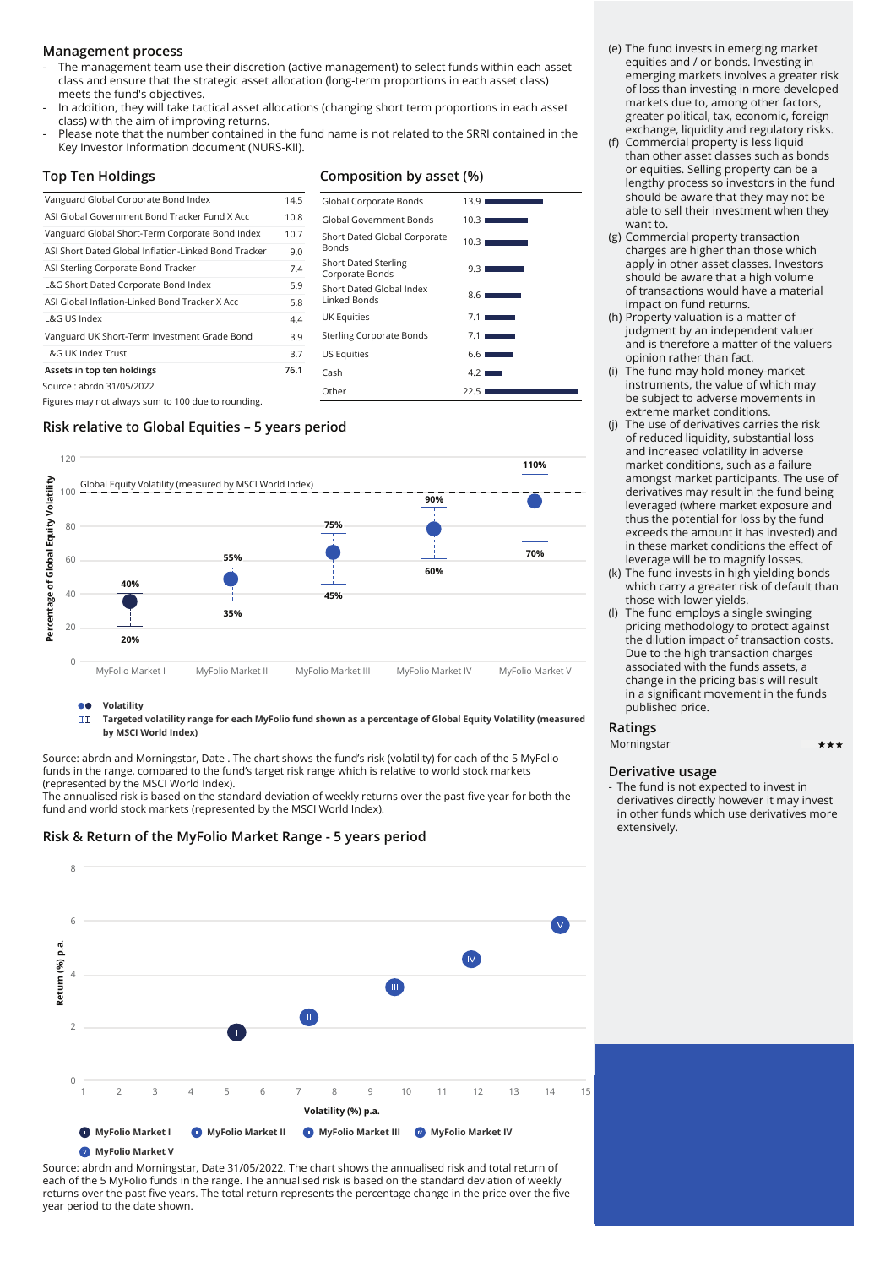#### **Management process**

- The management team use their discretion (active management) to select funds within each asset class and ensure that the strategic asset allocation (long-term proportions in each asset class) meets the fund's objectives.
- In addition, they will take tactical asset allocations (changing short term proportions in each asset class) with the aim of improving returns.
- Please note that the number contained in the fund name is not related to the SRRI contained in the Key Investor Information document (NURS-KII).

#### **Top Ten Holdings**

## **Composition by asset (%)** Global Corporate Bonds 13.9

Global Government Bonds 10.3 Short Dated Global Corporate Bonds 10.3

Corporate Bonds 9.3

| Vanguard Global Corporate Bond Index                 | 14.5 |
|------------------------------------------------------|------|
| ASI Global Government Bond Tracker Fund X Acc        | 10.8 |
| Vanguard Global Short-Term Corporate Bond Index      | 10.7 |
| ASI Short Dated Global Inflation-Linked Bond Tracker | 9.0  |
| ASI Sterling Corporate Bond Tracker                  | 7.4  |
| L&G Short Dated Corporate Bond Index                 | 5.9  |
| ASLGlobal Inflation-Linked Bond Tracker X Acc        | 5.8  |
| L&G US Index                                         | 4.4  |
| Vanguard UK Short-Term Investment Grade Bond         | 3.9  |
| <b>L&amp;G UK Index Trust</b>                        | 3.7  |
| Assets in top ten holdings                           | 76.1 |
| Source : abrdn 31/05/2022                            |      |
|                                                      |      |

Short Dated Global Index Linked Bonds 8.6 UK Equities Sterling Corporate Bonds US Equities Cash 4.2 Other 22.5

Short Dated Sterling

Figures may not always sum to 100 due to rounding.

## **Risk relative to Global Equities – 5 years period**



#### **Volatility** 66

 $\overline{11}$ **Targeted volatility range for each MyFolio fund shown as a percentage of Global Equity Volatility (measured by MSCI World Index)**

Source: abrdn and Morningstar, Date . The chart shows the fund's risk (volatility) for each of the 5 MyFolio funds in the range, compared to the fund's target risk range which is relative to world stock markets (represented by the MSCI World Index).

The annualised risk is based on the standard deviation of weekly returns over the past five year for both the fund and world stock markets (represented by the MSCI World Index).

#### **Risk & Return of the MyFolio Market Range - 5 years period**



Source: abrdn and Morningstar, Date 31/05/2022. The chart shows the annualised risk and total return of each of the 5 MyFolio funds in the range. The annualised risk is based on the standard deviation of weekly returns over the past five years. The total return represents the percentage change in the price over the five year period to the date shown.

- (e) The fund invests in emerging market equities and / or bonds. Investing in emerging markets involves a greater risk of loss than investing in more developed markets due to, among other factors, greater political, tax, economic, foreign exchange, liquidity and regulatory risks.
- (f) Commercial property is less liquid than other asset classes such as bonds or equities. Selling property can be a lengthy process so investors in the fund should be aware that they may not be able to sell their investment when they want to.
- (g) Commercial property transaction charges are higher than those which apply in other asset classes. Investors should be aware that a high volume of transactions would have a material impact on fund returns.
- (h) Property valuation is a matter of judgment by an independent valuer and is therefore a matter of the valuers opinion rather than fact.
- (i) The fund may hold money-market instruments, the value of which may be subject to adverse movements in extreme market conditions.
- (j) The use of derivatives carries the risk of reduced liquidity, substantial loss and increased volatility in adverse market conditions, such as a failure amongst market participants. The use of derivatives may result in the fund being leveraged (where market exposure and thus the potential for loss by the fund exceeds the amount it has invested) and in these market conditions the effect of leverage will be to magnify losses.
- (k) The fund invests in high yielding bonds which carry a greater risk of default than those with lower yields.
- (l) The fund employs a single swinging pricing methodology to protect against the dilution impact of transaction costs. Due to the high transaction charges associated with the funds assets, a change in the pricing basis will result in a significant movement in the funds published price.

#### **Ratings**

| Morningstar | **: |
|-------------|-----|
|-------------|-----|

#### **Derivative usage**

- The fund is not expected to invest in derivatives directly however it may invest in other funds which use derivatives more extensively.